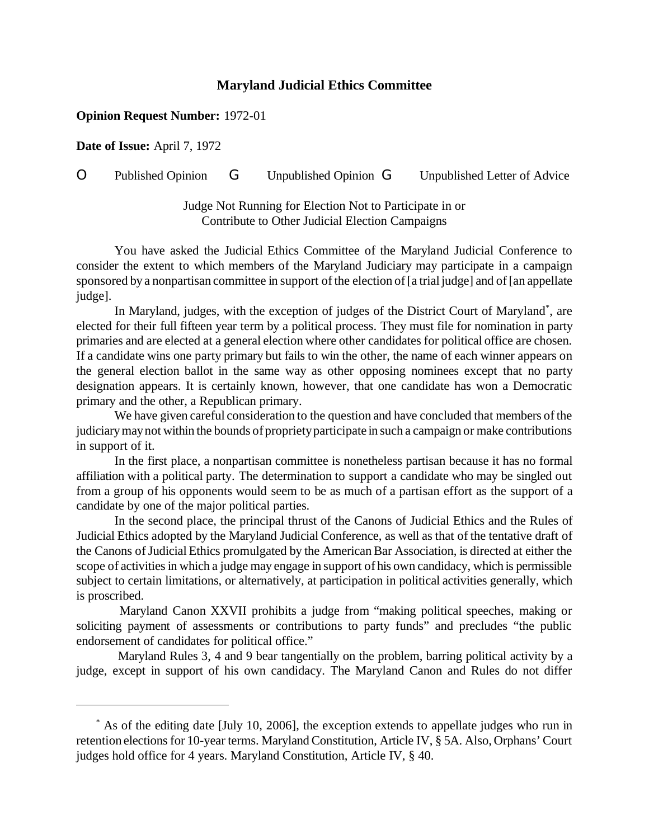## **Maryland Judicial Ethics Committee**

## **Opinion Request Number:** 1972-01

**Date of Issue:** April 7, 1972

## O Published Opinion G Unpublished Opinion G Unpublished Letter of Advice

Judge Not Running for Election Not to Participate in or Contribute to Other Judicial Election Campaigns

You have asked the Judicial Ethics Committee of the Maryland Judicial Conference to consider the extent to which members of the Maryland Judiciary may participate in a campaign sponsored by a nonpartisan committee in support of the election of [a trial judge] and of [an appellate] judge].

In Maryland, judges, with the exception of judges of the District Court of Maryland\* , are elected for their full fifteen year term by a political process. They must file for nomination in party primaries and are elected at a general election where other candidates for political office are chosen. If a candidate wins one party primary but fails to win the other, the name of each winner appears on the general election ballot in the same way as other opposing nominees except that no party designation appears. It is certainly known, however, that one candidate has won a Democratic primary and the other, a Republican primary.

We have given careful consideration to the question and have concluded that members of the judiciary may not within the bounds of propriety participate in such a campaign or make contributions in support of it.

In the first place, a nonpartisan committee is nonetheless partisan because it has no formal affiliation with a political party. The determination to support a candidate who may be singled out from a group of his opponents would seem to be as much of a partisan effort as the support of a candidate by one of the major political parties.

In the second place, the principal thrust of the Canons of Judicial Ethics and the Rules of Judicial Ethics adopted by the Maryland Judicial Conference, as well as that of the tentative draft of the Canons of Judicial Ethics promulgated by the American Bar Association, is directed at either the scope of activities in which a judge may engage in support of his own candidacy, which is permissible subject to certain limitations, or alternatively, at participation in political activities generally, which is proscribed.

Maryland Canon XXVII prohibits a judge from "making political speeches, making or soliciting payment of assessments or contributions to party funds" and precludes "the public endorsement of candidates for political office."

Maryland Rules 3, 4 and 9 bear tangentially on the problem, barring political activity by a judge, except in support of his own candidacy. The Maryland Canon and Rules do not differ

<sup>\*</sup> As of the editing date [July 10, 2006], the exception extends to appellate judges who run in retention elections for 10-year terms. Maryland Constitution, Article IV, § 5A. Also, Orphans' Court judges hold office for 4 years. Maryland Constitution, Article IV, § 40.